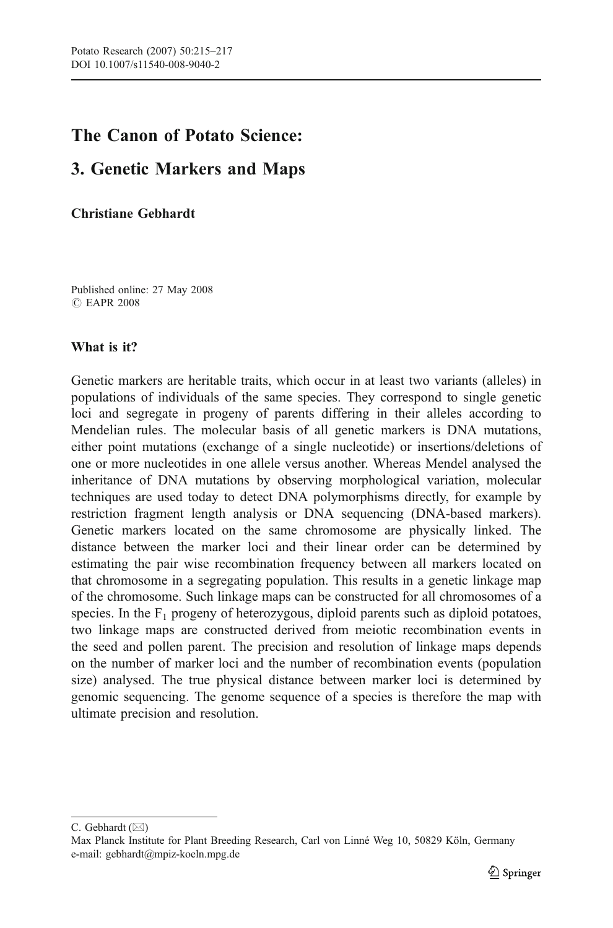# The Canon of Potato Science:

## 3. Genetic Markers and Maps

Christiane Gebhardt

Published online: 27 May 2008 *#* EAPR 2008

## What is it?

Genetic markers are heritable traits, which occur in at least two variants (alleles) in populations of individuals of the same species. They correspond to single genetic loci and segregate in progeny of parents differing in their alleles according to Mendelian rules. The molecular basis of all genetic markers is DNA mutations, either point mutations (exchange of a single nucleotide) or insertions/deletions of one or more nucleotides in one allele versus another. Whereas Mendel analysed the inheritance of DNA mutations by observing morphological variation, molecular techniques are used today to detect DNA polymorphisms directly, for example by restriction fragment length analysis or DNA sequencing (DNA-based markers). Genetic markers located on the same chromosome are physically linked. The distance between the marker loci and their linear order can be determined by estimating the pair wise recombination frequency between all markers located on that chromosome in a segregating population. This results in a genetic linkage map of the chromosome. Such linkage maps can be constructed for all chromosomes of a species. In the  $F_1$  progeny of heterozygous, diploid parents such as diploid potatoes, two linkage maps are constructed derived from meiotic recombination events in the seed and pollen parent. The precision and resolution of linkage maps depends on the number of marker loci and the number of recombination events (population size) analysed. The true physical distance between marker loci is determined by genomic sequencing. The genome sequence of a species is therefore the map with ultimate precision and resolution.

C. Gebhardt ( $\boxtimes$ )

Max Planck Institute for Plant Breeding Research, Carl von Linné Weg 10, 50829 Köln, Germany e-mail: gebhardt@mpiz-koeln.mpg.de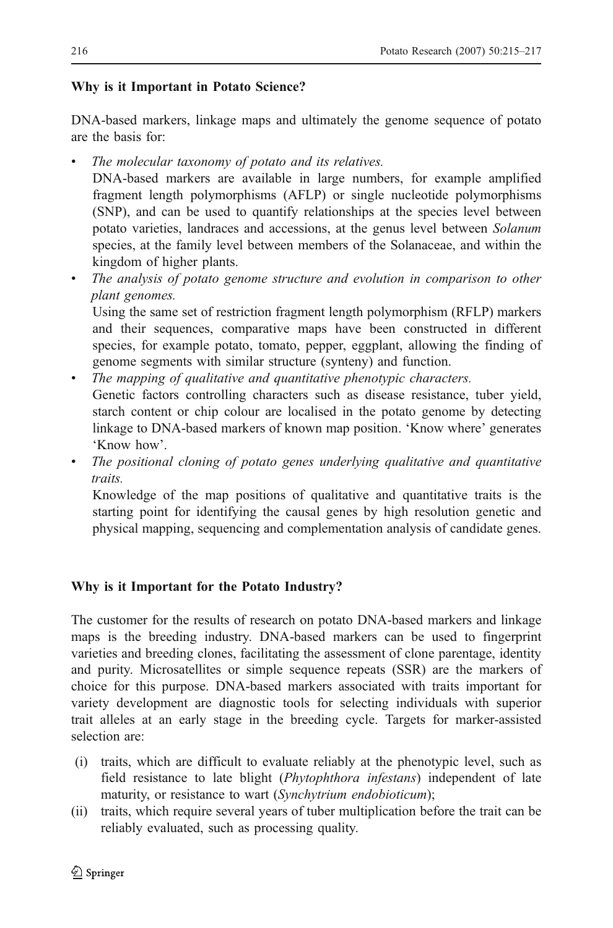## Why is it Important in Potato Science?

DNA-based markers, linkage maps and ultimately the genome sequence of potato are the basis for:

The molecular taxonomy of potato and its relatives.

DNA-based markers are available in large numbers, for example amplified fragment length polymorphisms (AFLP) or single nucleotide polymorphisms (SNP), and can be used to quantify relationships at the species level between potato varieties, landraces and accessions, at the genus level between Solanum species, at the family level between members of the Solanaceae, and within the kingdom of higher plants.

The analysis of potato genome structure and evolution in comparison to other plant genomes.

Using the same set of restriction fragment length polymorphism (RFLP) markers and their sequences, comparative maps have been constructed in different species, for example potato, tomato, pepper, eggplant, allowing the finding of genome segments with similar structure (synteny) and function.

- & The mapping of qualitative and quantitative phenotypic characters. Genetic factors controlling characters such as disease resistance, tuber yield, starch content or chip colour are localised in the potato genome by detecting linkage to DNA-based markers of known map position. 'Know where' generates 'Know how'.
- & The positional cloning of potato genes underlying qualitative and quantitative traits.

Knowledge of the map positions of qualitative and quantitative traits is the starting point for identifying the causal genes by high resolution genetic and physical mapping, sequencing and complementation analysis of candidate genes.

## Why is it Important for the Potato Industry?

The customer for the results of research on potato DNA-based markers and linkage maps is the breeding industry. DNA-based markers can be used to fingerprint varieties and breeding clones, facilitating the assessment of clone parentage, identity and purity. Microsatellites or simple sequence repeats (SSR) are the markers of choice for this purpose. DNA-based markers associated with traits important for variety development are diagnostic tools for selecting individuals with superior trait alleles at an early stage in the breeding cycle. Targets for marker-assisted selection are:

- (i) traits, which are difficult to evaluate reliably at the phenotypic level, such as field resistance to late blight (Phytophthora infestans) independent of late maturity, or resistance to wart (Synchytrium endobioticum);
- (ii) traits, which require several years of tuber multiplication before the trait can be reliably evaluated, such as processing quality.